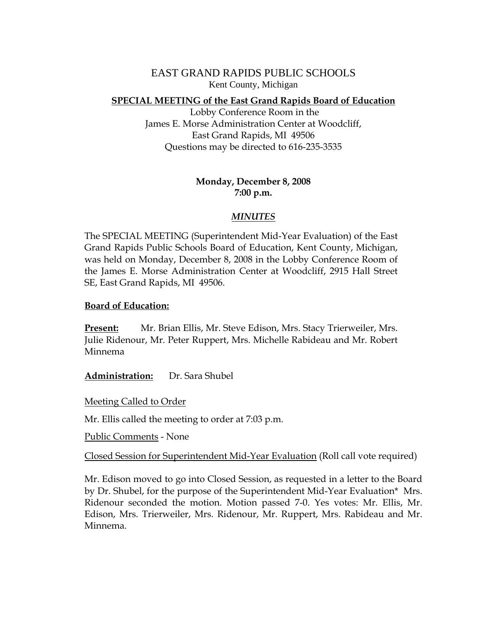EAST GRAND RAPIDS PUBLIC SCHOOLS Kent County, Michigan

## **SPECIAL MEETING of the East Grand Rapids Board of Education**

 Lobby Conference Room in the James E. Morse Administration Center at Woodcliff, East Grand Rapids, MI 49506 Questions may be directed to 616-235-3535

## **Monday, December 8, 2008 7:00 p.m.**

## *MINUTES*

The SPECIAL MEETING (Superintendent Mid-Year Evaluation) of the East Grand Rapids Public Schools Board of Education, Kent County, Michigan, was held on Monday, December 8, 2008 in the Lobby Conference Room of the James E. Morse Administration Center at Woodcliff, 2915 Hall Street SE, East Grand Rapids, MI 49506.

## **Board of Education:**

**Present:** Mr. Brian Ellis, Mr. Steve Edison, Mrs. Stacy Trierweiler, Mrs. Julie Ridenour, Mr. Peter Ruppert, Mrs. Michelle Rabideau and Mr. Robert Minnema

**Administration:** Dr. Sara Shubel

Meeting Called to Order

Mr. Ellis called the meeting to order at 7:03 p.m.

Public Comments - None

Closed Session for Superintendent Mid-Year Evaluation (Roll call vote required)

Mr. Edison moved to go into Closed Session, as requested in a letter to the Board by Dr. Shubel, for the purpose of the Superintendent Mid-Year Evaluation\* Mrs. Ridenour seconded the motion. Motion passed 7-0. Yes votes: Mr. Ellis, Mr. Edison, Mrs. Trierweiler, Mrs. Ridenour, Mr. Ruppert, Mrs. Rabideau and Mr. Minnema.